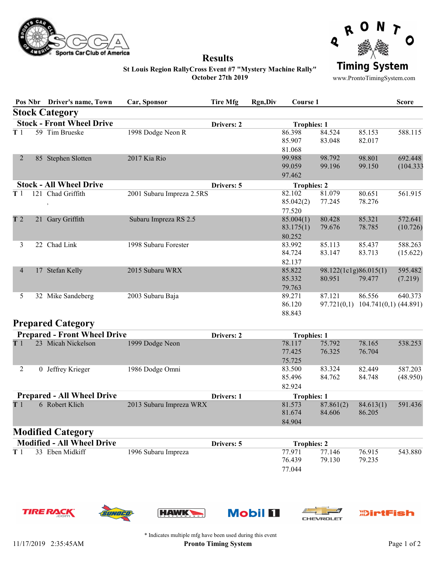



### Results

**Timing System** 

www.ProntoTimingSystem.com

#### St Louis Region RallyCross Event #7 "Mystery Machine Rally" October 27th 2019

|                                                |     | Pos Nbr Driver's name, Town    | Car, Sponsor              | <b>Tire Mfg</b> | <b>Rgn,Div</b> | Course 1                             |                                 |                                   | <b>Score</b>         |
|------------------------------------------------|-----|--------------------------------|---------------------------|-----------------|----------------|--------------------------------------|---------------------------------|-----------------------------------|----------------------|
|                                                |     | <b>Stock Category</b>          |                           |                 |                |                                      |                                 |                                   |                      |
| <b>Stock - Front Wheel Drive</b><br>Drivers: 2 |     |                                |                           |                 |                | <b>Trophies: 1</b>                   |                                 |                                   |                      |
| T <sub>1</sub>                                 |     | 59 Tim Brueske                 | 1998 Dodge Neon R         |                 |                | 86.398<br>85.907                     | 84.524<br>83.048                | 85.153<br>82.017                  | 588.115              |
| 2                                              | 85  | Stephen Slotten                | 2017 Kia Rio              |                 |                | 81.068<br>99.988<br>99.059<br>97.462 | 98.792<br>99.196                | 98.801<br>99.150                  | 692.448<br>(104.333) |
|                                                |     | <b>Stock - All Wheel Drive</b> |                           | Drivers: 5      |                | <b>Trophies: 2</b>                   |                                 |                                   |                      |
| T <sub>1</sub>                                 | 121 | Chad Griffith                  | 2001 Subaru Impreza 2.5RS |                 |                | 82.102<br>85.042(2)<br>77.520        | 81.079<br>77.245                | 80.651<br>78.276                  | 561.915              |
| T <sub>2</sub>                                 | 21  | Gary Griffith                  | Subaru Impreza RS 2.5     |                 |                | 85.004(1)<br>83.175(1)<br>80.252     | 80.428<br>79.676                | 85.321<br>78.785                  | 572.641<br>(10.726)  |
| 3                                              | 22  | Chad Link                      | 1998 Subaru Forester      |                 |                | 83.992<br>84.724<br>82.137           | 85.113<br>83.147                | 85.437<br>83.713                  | 588.263<br>(15.622)  |
| $\overline{4}$                                 | 17  | Stefan Kelly                   | 2015 Subaru WRX           |                 |                | 85.822<br>85.332<br>79.763           | 98.122(1c1g)86.015(1)<br>80.951 | 79.477                            | 595.482<br>(7.219)   |
| 5                                              | 32  | Mike Sandeberg                 | 2003 Subaru Baja          |                 |                | 89.271<br>86.120<br>88.843           | 87.121<br>97.721(0,1)           | 86.556<br>$104.741(0,1)$ (44.891) | 640.373              |

## Prepared Category

|                | <b>Prepared - Front Wheel Drive</b> |                         | <b>Drivers: 2</b> | <b>Trophies: 1</b> |           |           |          |
|----------------|-------------------------------------|-------------------------|-------------------|--------------------|-----------|-----------|----------|
| T <sub>1</sub> | 23 Micah Nickelson                  | 1999 Dodge Neon         |                   | 78.117             | 75.792    | 78.165    | 538.253  |
|                |                                     |                         |                   | 77.425             | 76.325    | 76.704    |          |
|                |                                     |                         |                   | 75.725             |           |           |          |
| 2              | 0 Jeffrey Krieger                   | 1986 Dodge Omni         |                   | 83.500             | 83.324    | 82.449    | 587.203  |
|                |                                     |                         |                   | 85.496             | 84.762    | 84.748    | (48.950) |
|                |                                     |                         |                   | 82.924             |           |           |          |
|                | <b>Prepared - All Wheel Drive</b>   |                         | Drivers: 1        | <b>Trophies: 1</b> |           |           |          |
| T <sub>1</sub> | 6 Robert Klich                      | 2013 Subaru Impreza WRX |                   | 81.573             | 87.861(2) | 84.613(1) | 591.436  |
|                |                                     |                         |                   | 81.674             | 84.606    | 86.205    |          |
|                |                                     |                         |                   | 84.904             |           |           |          |

# Modified Category

| <b>Modified - All Wheel Drive</b> |                     |                     | Drivers: 5 |        | <b>Trophies: 2</b> |        |         |
|-----------------------------------|---------------------|---------------------|------------|--------|--------------------|--------|---------|
|                                   | T 1 33 Eben Midkiff | 1996 Subaru Impreza |            | 77.971 | 77.146             | 76.915 | 543.880 |
|                                   |                     |                     |            | 76.439 | 79.130             | 79.235 |         |
|                                   |                     |                     |            | 77.044 |                    |        |         |













\* Indicates multiple mfg have been used during this event